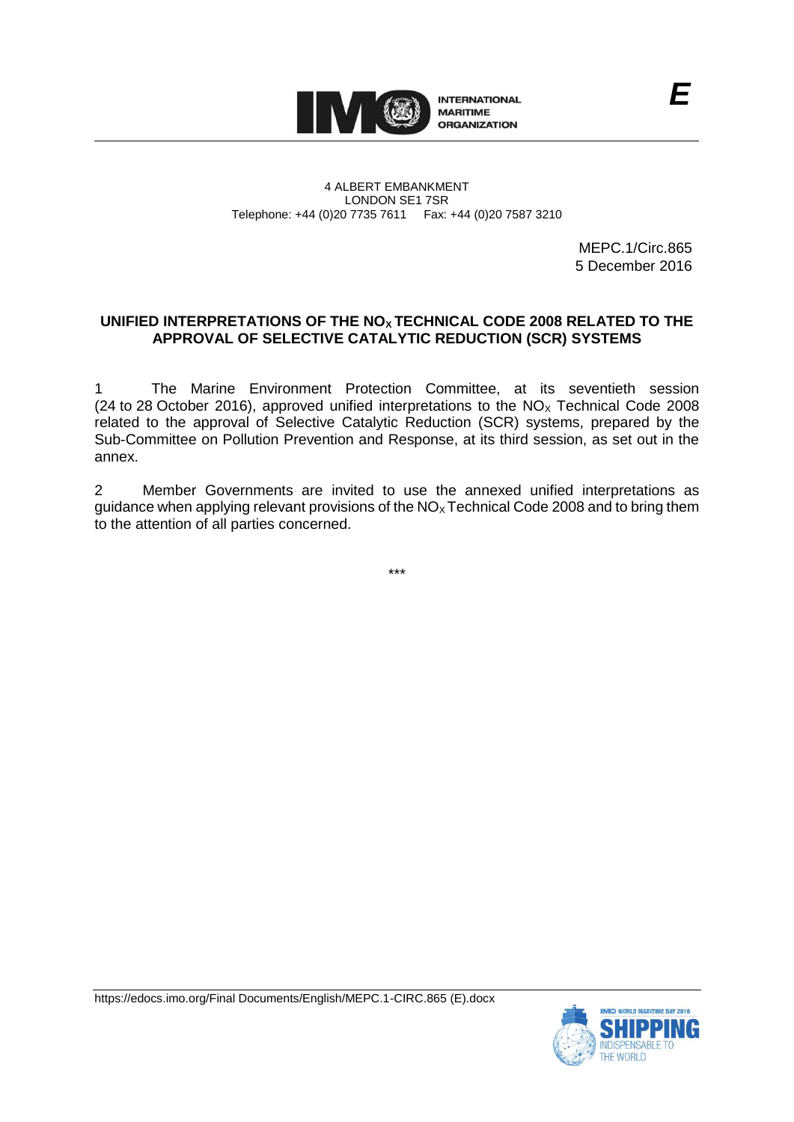

4 ALBERT EMBANKMENT LONDON SE1 7SR Telephone: +44 (0)20 7735 7611 Fax: +44 (0)20 7587 3210

> MEPC.1/Circ.865 5 December 2016

# **UNIFIED INTERPRETATIONS OF THE NOX TECHNICAL CODE 2008 RELATED TO THE APPROVAL OF SELECTIVE CATALYTIC REDUCTION (SCR) SYSTEMS**

1 The Marine Environment Protection Committee, at its seventieth session (24 to 28 October 2016), approved unified interpretations to the  $NO<sub>x</sub>$  Technical Code 2008 related to the approval of Selective Catalytic Reduction (SCR) systems, prepared by the Sub-Committee on Pollution Prevention and Response, at its third session, as set out in the annex.

2 Member Governments are invited to use the annexed unified interpretations as guidance when applying relevant provisions of the  $NO<sub>x</sub>$  Technical Code 2008 and to bring them to the attention of all parties concerned.

\*\*\*



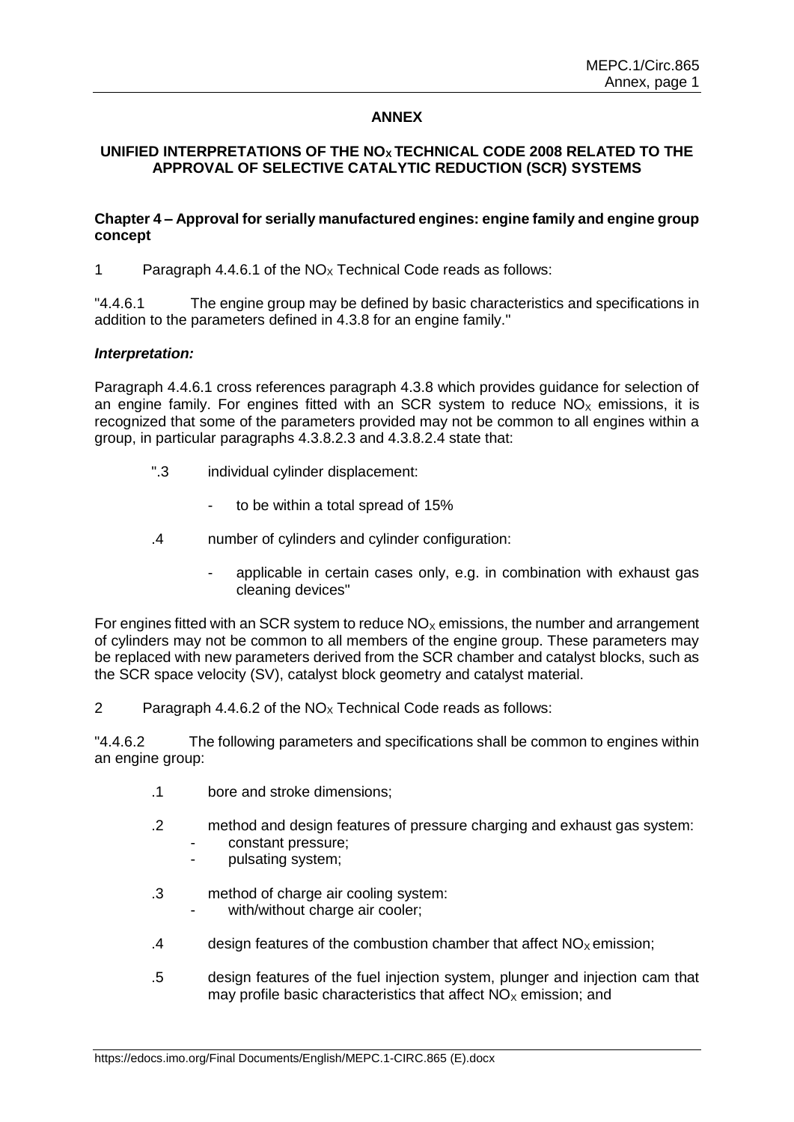## **ANNEX**

## **UNIFIED INTERPRETATIONS OF THE NOX TECHNICAL CODE 2008 RELATED TO THE APPROVAL OF SELECTIVE CATALYTIC REDUCTION (SCR) SYSTEMS**

#### **Chapter 4 – Approval for serially manufactured engines: engine family and engine group concept**

1 Paragraph 4.4.6.1 of the  $NO<sub>x</sub>$  Technical Code reads as follows:

"4.4.6.1 The engine group may be defined by basic characteristics and specifications in addition to the parameters defined in 4.3.8 for an engine family."

### *Interpretation:*

Paragraph 4.4.6.1 cross references paragraph 4.3.8 which provides guidance for selection of an engine family. For engines fitted with an SCR system to reduce  $NO<sub>x</sub>$  emissions, it is recognized that some of the parameters provided may not be common to all engines within a group, in particular paragraphs 4.3.8.2.3 and 4.3.8.2.4 state that:

- ".3 individual cylinder displacement:
	- to be within a total spread of 15%
- .4 number of cylinders and cylinder configuration:
	- applicable in certain cases only, e.g. in combination with exhaust gas cleaning devices"

For engines fitted with an SCR system to reduce  $NO<sub>x</sub>$  emissions, the number and arrangement of cylinders may not be common to all members of the engine group. These parameters may be replaced with new parameters derived from the SCR chamber and catalyst blocks, such as the SCR space velocity (SV), catalyst block geometry and catalyst material.

2 Paragraph 4.4.6.2 of the  $NO<sub>x</sub>$  Technical Code reads as follows:

"4.4.6.2 The following parameters and specifications shall be common to engines within an engine group:

- .1 bore and stroke dimensions;
- .2 method and design features of pressure charging and exhaust gas system:
	- constant pressure;
	- pulsating system;
- .3 method of charge air cooling system:
	- with/without charge air cooler;
- .4 design features of the combustion chamber that affect  $NO<sub>x</sub>$  emission;
- .5 design features of the fuel injection system, plunger and injection cam that may profile basic characteristics that affect  $NO<sub>x</sub>$  emission; and